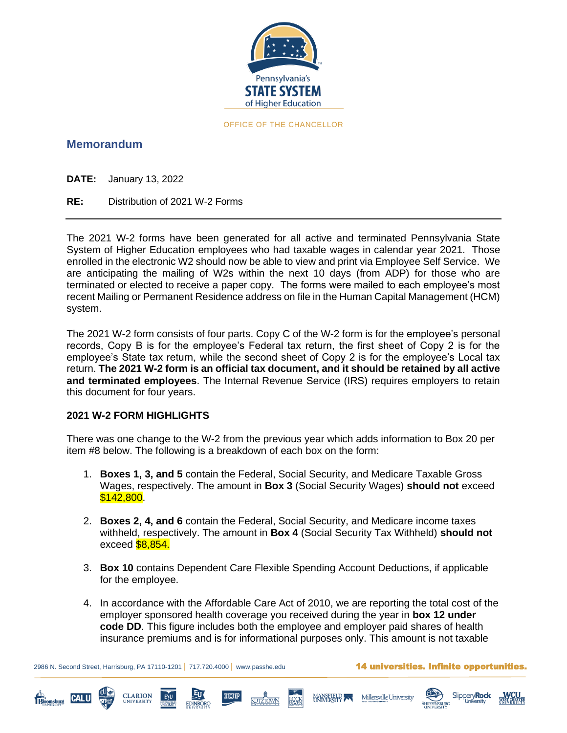

OFFICE OF THE CHANCELLOR

## **Memorandum**

**DATE:** January 13, 2022

**RE:** Distribution of 2021 W-2 Forms

The 2021 W-2 forms have been generated for all active and terminated Pennsylvania State System of Higher Education employees who had taxable wages in calendar year 2021. Those enrolled in the electronic W2 should now be able to view and print via Employee Self Service. We are anticipating the mailing of W2s within the next 10 days (from ADP) for those who are terminated or elected to receive a paper copy. The forms were mailed to each employee's most recent Mailing or Permanent Residence address on file in the Human Capital Management (HCM) system.

The 2021 W-2 form consists of four parts. Copy C of the W-2 form is for the employee's personal records, Copy B is for the employee's Federal tax return, the first sheet of Copy 2 is for the employee's State tax return, while the second sheet of Copy 2 is for the employee's Local tax return. **The 2021 W-2 form is an official tax document, and it should be retained by all active and terminated employees**. The Internal Revenue Service (IRS) requires employers to retain this document for four years.

## **2021 W-2 FORM HIGHLIGHTS**

There was one change to the W-2 from the previous year which adds information to Box 20 per item #8 below. The following is a breakdown of each box on the form:

- 1. **Boxes 1, 3, and 5** contain the Federal, Social Security, and Medicare Taxable Gross Wages, respectively. The amount in **Box 3** (Social Security Wages) **should not** exceed \$142,800.
- 2. **Boxes 2, 4, and 6** contain the Federal, Social Security, and Medicare income taxes withheld, respectively. The amount in **Box 4** (Social Security Tax Withheld) **should not** exceed \$8,854.
- 3. **Box 10** contains Dependent Care Flexible Spending Account Deductions, if applicable for the employee.
- 4. In accordance with the Affordable Care Act of 2010, we are reporting the total cost of the employer sponsored health coverage you received during the year in **box 12 under code DD**. This figure includes both the employee and employer paid shares of health insurance premiums and is for informational purposes only. This amount is not taxable

2986 N. Second Street, Harrisburg, PA 17110-1201 | 717.720.4000 | www.passhe.edu **14 universities. Infinite opportunities.** 

**CLARION** 









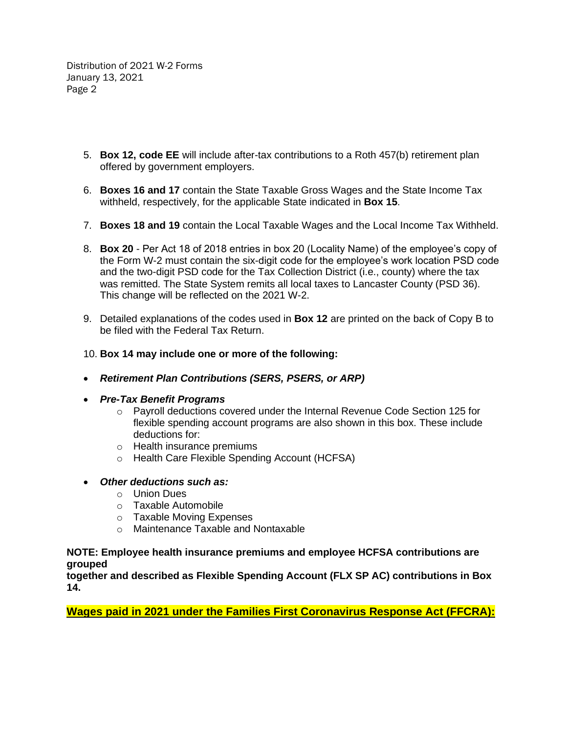Distribution of 2021 W-2 Forms January 13, 2021 Page 2

- 5. **Box 12, code EE** will include after-tax contributions to a Roth 457(b) retirement plan offered by government employers.
- 6. **Boxes 16 and 17** contain the State Taxable Gross Wages and the State Income Tax withheld, respectively, for the applicable State indicated in **Box 15**.
- 7. **Boxes 18 and 19** contain the Local Taxable Wages and the Local Income Tax Withheld.
- 8. **Box 20** Per Act 18 of 2018 entries in box 20 (Locality Name) of the employee's copy of the Form W-2 must contain the six-digit code for the employee's work location PSD code and the two-digit PSD code for the Tax Collection District (i.e., county) where the tax was remitted. The State System remits all local taxes to Lancaster County (PSD 36). This change will be reflected on the 2021 W-2.
- 9. Detailed explanations of the codes used in **Box 12** are printed on the back of Copy B to be filed with the Federal Tax Return.

## 10. **Box 14 may include one or more of the following:**

- *Retirement Plan Contributions (SERS, PSERS, or ARP)*
- *Pre-Tax Benefit Programs*
	- $\circ$  Payroll deductions covered under the Internal Revenue Code Section 125 for flexible spending account programs are also shown in this box. These include deductions for:
	- o Health insurance premiums
	- o Health Care Flexible Spending Account (HCFSA)
- *Other deductions such as:* 
	- o Union Dues
	- o Taxable Automobile
	- o Taxable Moving Expenses
	- o Maintenance Taxable and Nontaxable

## **NOTE: Employee health insurance premiums and employee HCFSA contributions are grouped**

**together and described as Flexible Spending Account (FLX SP AC) contributions in Box 14.** 

**Wages paid in 2021 under the Families First Coronavirus Response Act (FFCRA):**